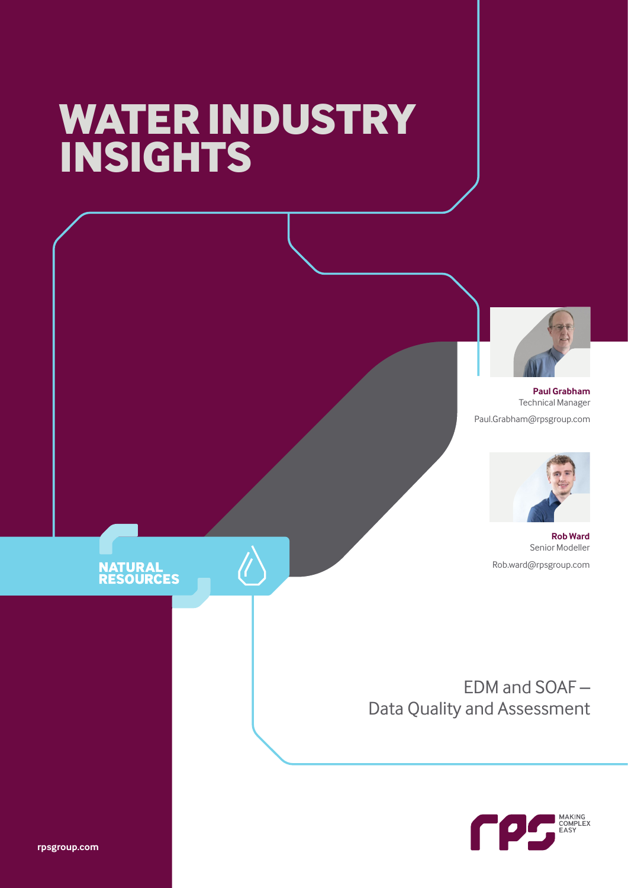# **WATER INDUSTRY INSIGHTS**



**Paul Grabham** Technical Manager Paul.Grabham@rpsgroup.com



**Rob Ward** Senior Modeller Rob.ward@rpsgroup.com

EDM and SOAF – Data Quality and Assessment



### **NATURAL<br>RESOURCES**

**rpsgroup.com**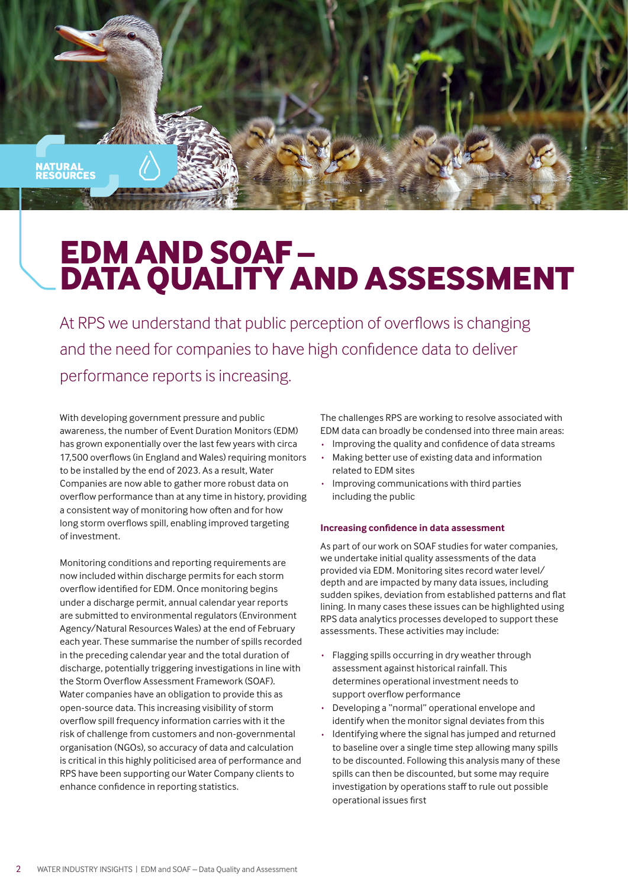<mark>ATURAL</mark><br>ESOURCES

## **EDM AND SOAF – DATA QUALITY AND ASSESSMENT**

At RPS we understand that public perception of overflows is changing and the need for companies to have high confidence data to deliver performance reports is increasing.

With developing government pressure and public awareness, the number of Event Duration Monitors (EDM) has grown exponentially over the last few years with circa 17,500 overflows (in England and Wales) requiring monitors to be installed by the end of 2023. As a result, Water Companies are now able to gather more robust data on overflow performance than at any time in history, providing a consistent way of monitoring how often and for how long storm overflows spill, enabling improved targeting of investment.

Monitoring conditions and reporting requirements are now included within discharge permits for each storm overflow identified for EDM. Once monitoring begins under a discharge permit, annual calendar year reports are submitted to environmental regulators (Environment Agency/Natural Resources Wales) at the end of February each year. These summarise the number of spills recorded in the preceding calendar year and the total duration of discharge, potentially triggering investigations in line with the Storm Overflow Assessment Framework (SOAF). Water companies have an obligation to provide this as open-source data. This increasing visibility of storm overflow spill frequency information carries with it the risk of challenge from customers and non-governmental organisation (NGOs), so accuracy of data and calculation is critical in this highly politicised area of performance and RPS have been supporting our Water Company clients to enhance confidence in reporting statistics.

The challenges RPS are working to resolve associated with EDM data can broadly be condensed into three main areas:

- Improving the quality and confidence of data streams<br>• Making better use of existing data and information
- Making better use of existing data and information related to EDM sites
- · Improving communications with third parties including the public

#### **Increasing confidence in data assessment**

As part of our work on SOAF studies for water companies, we undertake initial quality assessments of the data provided via EDM. Monitoring sites record water level/ depth and are impacted by many data issues, including sudden spikes, deviation from established patterns and flat lining. In many cases these issues can be highlighted using RPS data analytics processes developed to support these assessments. These activities may include:

- · Flagging spills occurring in dry weather through assessment against historical rainfall. This determines operational investment needs to support overflow performance
- Developing a "normal" operational envelope and identify when the monitor signal deviates from this
- Identifying where the signal has jumped and returned to baseline over a single time step allowing many spills to be discounted. Following this analysis many of these spills can then be discounted, but some may require investigation by operations staff to rule out possible operational issues first